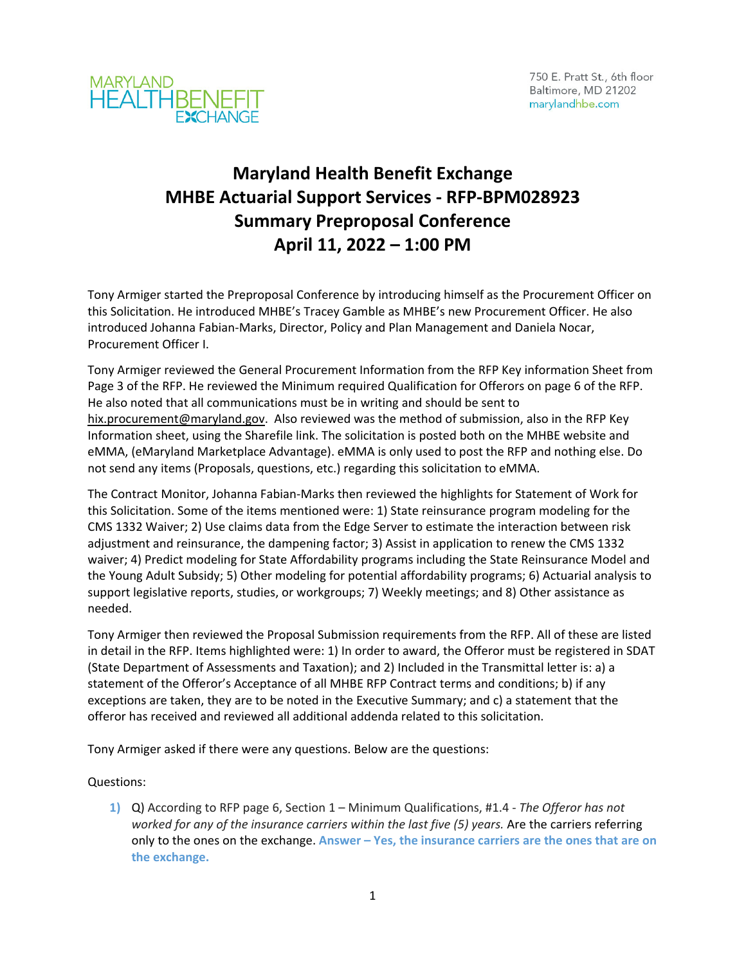

## **Maryland Health Benefit Exchange MHBE Actuarial Support Services ‐ RFP‐BPM028923 Summary Preproposal Conference April 11, 2022 – 1:00 PM**

Tony Armiger started the Preproposal Conference by introducing himself as the Procurement Officer on this Solicitation. He introduced MHBE's Tracey Gamble as MHBE's new Procurement Officer. He also introduced Johanna Fabian‐Marks, Director, Policy and Plan Management and Daniela Nocar, Procurement Officer I.

Tony Armiger reviewed the General Procurement Information from the RFP Key information Sheet from Page 3 of the RFP. He reviewed the Minimum required Qualification for Offerors on page 6 of the RFP. He also noted that all communications must be in writing and should be sent to hix.procurement@maryland.gov. Also reviewed was the method of submission, also in the RFP Key Information sheet, using the Sharefile link. The solicitation is posted both on the MHBE website and eMMA, (eMaryland Marketplace Advantage). eMMA is only used to post the RFP and nothing else. Do not send any items (Proposals, questions, etc.) regarding this solicitation to eMMA.

The Contract Monitor, Johanna Fabian‐Marks then reviewed the highlights for Statement of Work for this Solicitation. Some of the items mentioned were: 1) State reinsurance program modeling for the CMS 1332 Waiver; 2) Use claims data from the Edge Server to estimate the interaction between risk adjustment and reinsurance, the dampening factor; 3) Assist in application to renew the CMS 1332 waiver; 4) Predict modeling for State Affordability programs including the State Reinsurance Model and the Young Adult Subsidy; 5) Other modeling for potential affordability programs; 6) Actuarial analysis to support legislative reports, studies, or workgroups; 7) Weekly meetings; and 8) Other assistance as needed.

Tony Armiger then reviewed the Proposal Submission requirements from the RFP. All of these are listed in detail in the RFP. Items highlighted were: 1) In order to award, the Offeror must be registered in SDAT (State Department of Assessments and Taxation); and 2) Included in the Transmittal letter is: a) a statement of the Offeror's Acceptance of all MHBE RFP Contract terms and conditions; b) if any exceptions are taken, they are to be noted in the Executive Summary; and c) a statement that the offeror has received and reviewed all additional addenda related to this solicitation.

Tony Armiger asked if there were any questions. Below are the questions:

Questions:

**1)** Q) According to RFP page 6, Section 1 – Minimum Qualifications, #1.4 ‐ *The Offeror has not worked for any of the insurance carriers within the last five (5) years.* Are the carriers referring only to the ones on the exchange. **Answer – Yes, the insurance carriers are the ones that are on the exchange.**